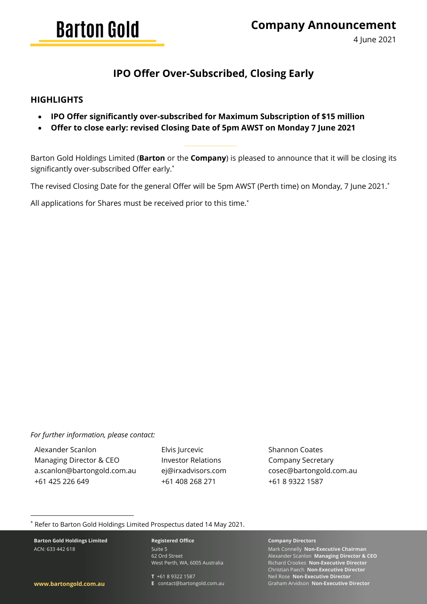



4 June 2021

# **IPO Offer Over-Subscribed, Closing Early**

# **HIGHLIGHTS**

- **IPO Offer significantly over-subscribed for Maximum Subscription of \$15 million**
- **Offer to close early: revised Closing Date of 5pm AWST on Monday 7 June 2021**

Barton Gold Holdings Limited (**Barton** or the **Company**) is pleased to announce that it will be closing its significantly over-subscribed Offer early. \*

The revised Closing Date for the general Offer will be 5pm AWST (Perth time) on Monday, 7 June 2021.\*

All applications for Shares must be received prior to this time. \*

## *For further information, please contact:*

Alexander Scanlon Managing Director & CEO a.scanlon@bartongold.com.au +61 425 226 649

Elvis Jurcevic Investor Relations ej@irxadvisors.com +61 408 268 271

Shannon Coates Company Secretary cosec@bartongold.com.au +61 8 9322 1587

#### \* Refer to Barton Gold Holdings Limited Prospectus dated 14 May 2021.

**Barton Gold Holdings Limited** ACN: 633 442 618

**Registered Office** Suite 5 62 Ord Street West Perth, WA, 6005 Australia

**T** +61 8 9322 1587 **E** contact@bartongold.com.au

#### **Company Directors**

Mark Connelly **Non-Executive Chairman** Alexander Scanlon **Managing Director & CEO** Richard Crookes **Non-Executive Director** Christian Paech **Non-Executive Director** Neil Rose **Non-Executive Director** Graham Arvidson **Non-Executive Director**